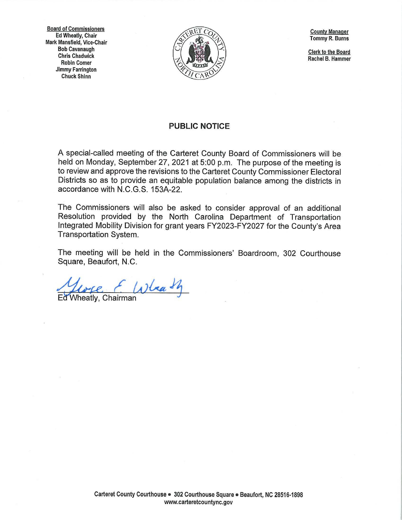**Board of Commissioners Ed Wheatly, Chair Mark Mansfield, Vice-Chair Bob Cavanaugh Chris Chadwick Robin Comer Jimmy Farrington Chuck Shinn** 



**County Manager Tommy R. Burns** 

**Clerk to the Board Rachel B. Hammer** 

## **PUBLIC NOTICE**

A special-called meeting of the Carteret County Board of Commissioners will be held on Monday, September 27, 2021 at 5:00 p.m. The purpose of the meeting is to review and approve the revisions to the Carteret County Commissioner Electoral Districts so as to provide an equitable population balance among the districts in accordance with N.C.G.S. 153A-22.

The Commissioners will also be asked to consider approval of an additional Resolution provided by the North Carolina Department of Transportation Integrated Mobility Division for grant years FY2023-FY2027 for the County's Area Transportation System.

The meeting will be held in the Commissioners' Boardroom, 302 Courthouse Square, Beaufort, **N.C.** 

Horse EWlaath